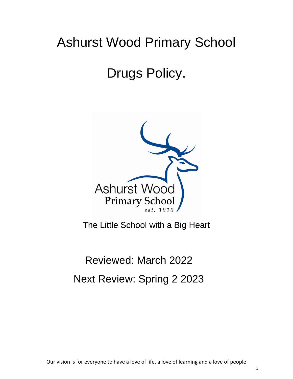## Ashurst Wood Primary School

# Drugs Policy.



The Little School with a Big Heart

## Reviewed: March 2022 Next Review: Spring 2 2023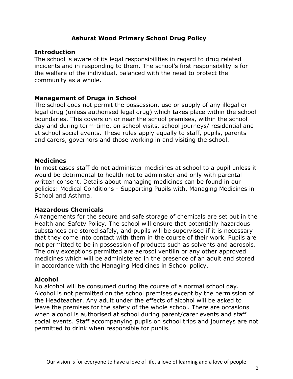## **Ashurst Wood Primary School Drug Policy**

## **Introduction**

The school is aware of its legal responsibilities in regard to drug related incidents and in responding to them. The school's first responsibility is for the welfare of the individual, balanced with the need to protect the community as a whole.

### **Management of Drugs in School**

The school does not permit the possession, use or supply of any illegal or legal drug (unless authorised legal drug) which takes place within the school boundaries. This covers on or near the school premises, within the school day and during term-time, on school visits, school journeys/ residential and at school social events. These rules apply equally to staff, pupils, parents and carers, governors and those working in and visiting the school.

#### **Medicines**

In most cases staff do not administer medicines at school to a pupil unless it would be detrimental to health not to administer and only with parental written consent. Details about managing medicines can be found in our policies: Medical Conditions - Supporting Pupils with, Managing Medicines in School and Asthma.

## **Hazardous Chemicals**

Arrangements for the secure and safe storage of chemicals are set out in the Health and Safety Policy. The school will ensure that potentially hazardous substances are stored safely, and pupils will be supervised if it is necessary that they come into contact with them in the course of their work. Pupils are not permitted to be in possession of products such as solvents and aerosols. The only exceptions permitted are aerosol ventilin or any other approved medicines which will be administered in the presence of an adult and stored in accordance with the Managing Medicines in School policy.

#### **Alcohol**

No alcohol will be consumed during the course of a normal school day. Alcohol is not permitted on the school premises except by the permission of the Headteacher. Any adult under the effects of alcohol will be asked to leave the premises for the safety of the whole school. There are occasions when alcohol is authorised at school during parent/carer events and staff social events. Staff accompanying pupils on school trips and journeys are not permitted to drink when responsible for pupils.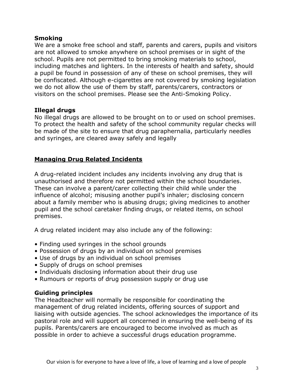## **Smoking**

We are a smoke free school and staff, parents and carers, pupils and visitors are not allowed to smoke anywhere on school premises or in sight of the school. Pupils are not permitted to bring smoking materials to school, including matches and lighters. In the interests of health and safety, should a pupil be found in possession of any of these on school premises, they will be confiscated. Although e-cigarettes are not covered by smoking legislation we do not allow the use of them by staff, parents/carers, contractors or visitors on the school premises. Please see the Anti-Smoking Policy.

## **Illegal drugs**

No illegal drugs are allowed to be brought on to or used on school premises. To protect the health and safety of the school community regular checks will be made of the site to ensure that drug paraphernalia, particularly needles and syringes, are cleared away safely and legally

## **Managing Drug Related Incidents**

A drug-related incident includes any incidents involving any drug that is unauthorised and therefore not permitted within the school boundaries. These can involve a parent/carer collecting their child while under the influence of alcohol; misusing another pupil's inhaler; disclosing concern about a family member who is abusing drugs; giving medicines to another pupil and the school caretaker finding drugs, or related items, on school premises.

A drug related incident may also include any of the following:

- Finding used syringes in the school grounds
- Possession of drugs by an individual on school premises
- Use of drugs by an individual on school premises
- Supply of drugs on school premises
- Individuals disclosing information about their drug use
- Rumours or reports of drug possession supply or drug use

## **Guiding principles**

The Headteacher will normally be responsible for coordinating the management of drug related incidents, offering sources of support and liaising with outside agencies. The school acknowledges the importance of its pastoral role and will support all concerned in ensuring the well-being of its pupils. Parents/carers are encouraged to become involved as much as possible in order to achieve a successful drugs education programme.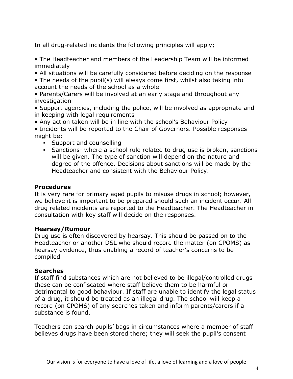In all drug-related incidents the following principles will apply;

• The Headteacher and members of the Leadership Team will be informed immediately

- All situations will be carefully considered before deciding on the response
- The needs of the pupil(s) will always come first, whilst also taking into account the needs of the school as a whole
- Parents/Carers will be involved at an early stage and throughout any investigation
- Support agencies, including the police, will be involved as appropriate and in keeping with legal requirements
- Any action taken will be in line with the school's Behaviour Policy
- Incidents will be reported to the Chair of Governors. Possible responses might be:
	- **Support and counselling**
	- Sanctions- where a school rule related to drug use is broken, sanctions will be given. The type of sanction will depend on the nature and degree of the offence. Decisions about sanctions will be made by the Headteacher and consistent with the Behaviour Policy.

## **Procedures**

It is very rare for primary aged pupils to misuse drugs in school; however, we believe it is important to be prepared should such an incident occur. All drug related incidents are reported to the Headteacher. The Headteacher in consultation with key staff will decide on the responses.

## **Hearsay/Rumour**

Drug use is often discovered by hearsay. This should be passed on to the Headteacher or another DSL who should record the matter (on CPOMS) as hearsay evidence, thus enabling a record of teacher's concerns to be compiled

## **Searches**

If staff find substances which are not believed to be illegal/controlled drugs these can be confiscated where staff believe them to be harmful or detrimental to good behaviour. If staff are unable to identify the legal status of a drug, it should be treated as an illegal drug. The school will keep a record (on CPOMS) of any searches taken and inform parents/carers if a substance is found.

Teachers can search pupils' bags in circumstances where a member of staff believes drugs have been stored there; they will seek the pupil's consent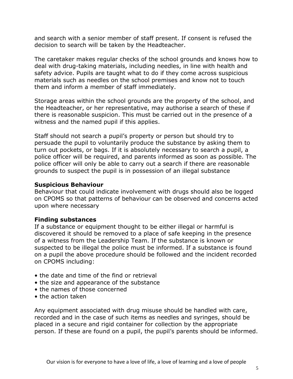and search with a senior member of staff present. If consent is refused the decision to search will be taken by the Headteacher.

The caretaker makes regular checks of the school grounds and knows how to deal with drug-taking materials, including needles, in line with health and safety advice. Pupils are taught what to do if they come across suspicious materials such as needles on the school premises and know not to touch them and inform a member of staff immediately.

Storage areas within the school grounds are the property of the school, and the Headteacher, or her representative, may authorise a search of these if there is reasonable suspicion. This must be carried out in the presence of a witness and the named pupil if this applies.

Staff should not search a pupil's property or person but should try to persuade the pupil to voluntarily produce the substance by asking them to turn out pockets, or bags. If it is absolutely necessary to search a pupil, a police officer will be required, and parents informed as soon as possible. The police officer will only be able to carry out a search if there are reasonable grounds to suspect the pupil is in possession of an illegal substance

## **Suspicious Behaviour**

Behaviour that could indicate involvement with drugs should also be logged on CPOMS so that patterns of behaviour can be observed and concerns acted upon where necessary

## **Finding substances**

If a substance or equipment thought to be either illegal or harmful is discovered it should be removed to a place of safe keeping in the presence of a witness from the Leadership Team. If the substance is known or suspected to be illegal the police must be informed. If a substance is found on a pupil the above procedure should be followed and the incident recorded on CPOMS including:

- the date and time of the find or retrieval
- the size and appearance of the substance
- the names of those concerned
- the action taken

Any equipment associated with drug misuse should be handled with care, recorded and in the case of such items as needles and syringes, should be placed in a secure and rigid container for collection by the appropriate person. If these are found on a pupil, the pupil's parents should be informed.